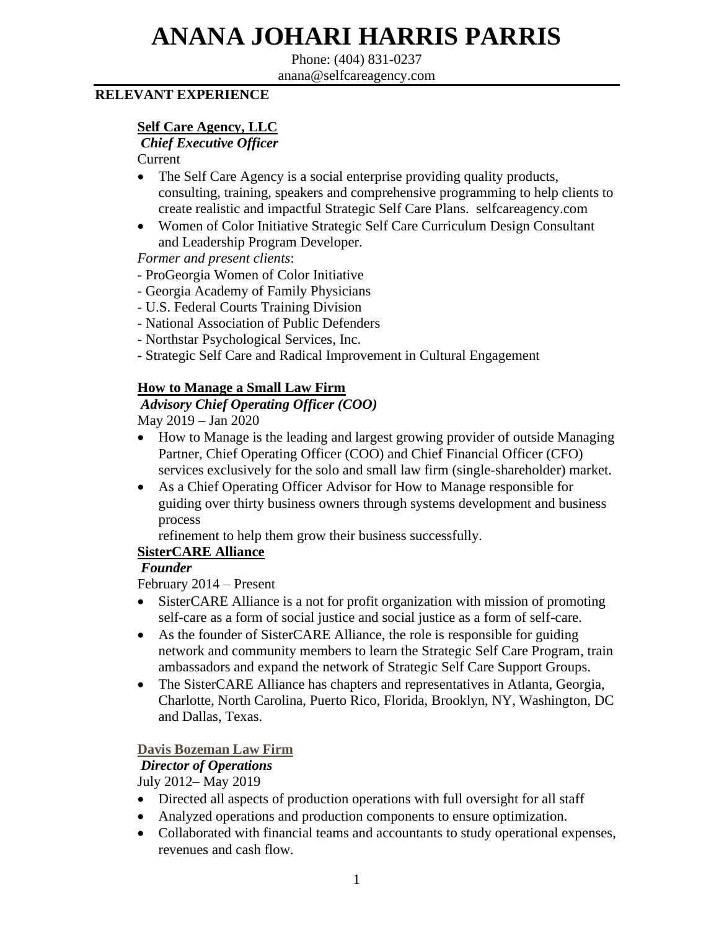# **ANANA JOHARI HARRIS PARRIS**

Phone: (404) 831-0237 anana@selfcareagency.com

#### **RELEVANT EXPERIENCE**

#### **Self Care Agency, LLC**

*Chief Executive Officer*

Current

- The Self Care Agency is a social enterprise providing quality products, consulting, training, speakers and comprehensive programming to help clients to create realistic and impactful Strategic Self Care Plans. selfcareagency.com
- Women of Color Initiative Strategic Self Care Curriculum Design Consultant and Leadership Program Developer.

*Former and present clients*:

- ProGeorgia Women of Color Initiative
- Georgia Academy of Family Physicians
- U.S. Federal Courts Training Division
- National Association of Public Defenders
- Northstar Psychological Services, Inc.
- Strategic Self Care and Radical Improvement in Cultural Engagement

#### **How to Manage a Small Law Firm**

 *Advisory Chief Operating Officer (COO)* May 2019 – Jan 2020

- How to Manage is the leading and largest growing provider of outside Managing Partner, Chief Operating Officer (COO) and Chief Financial Officer (CFO) services exclusively for the solo and small law firm (single-shareholder) market.
- As a Chief Operating Officer Advisor for How to Manage responsible for guiding over thirty business owners through systems development and business process

refinement to help them grow their business successfully.

#### **SisterCARE Alliance**

#### *Founder*

February 2014 – Present

- SisterCARE Alliance is a not for profit organization with mission of promoting self-care as a form of social justice and social justice as a form of self-care.
- As the founder of SisterCARE Alliance, the role is responsible for guiding network and community members to learn the Strategic Self Care Program, train ambassadors and expand the network of Strategic Self Care Support Groups.
- The SisterCARE Alliance has chapters and representatives in Atlanta, Georgia, Charlotte, North Carolina, Puerto Rico, Florida, Brooklyn, NY, Washington, DC and Dallas, Texas.

#### **Davis Bozeman Law Firm**

#### *Director of Operations*

July 2012– May 2019

- Directed all aspects of production operations with full oversight for all staff
- Analyzed operations and production components to ensure optimization.
- Collaborated with financial teams and accountants to study operational expenses, revenues and cash flow.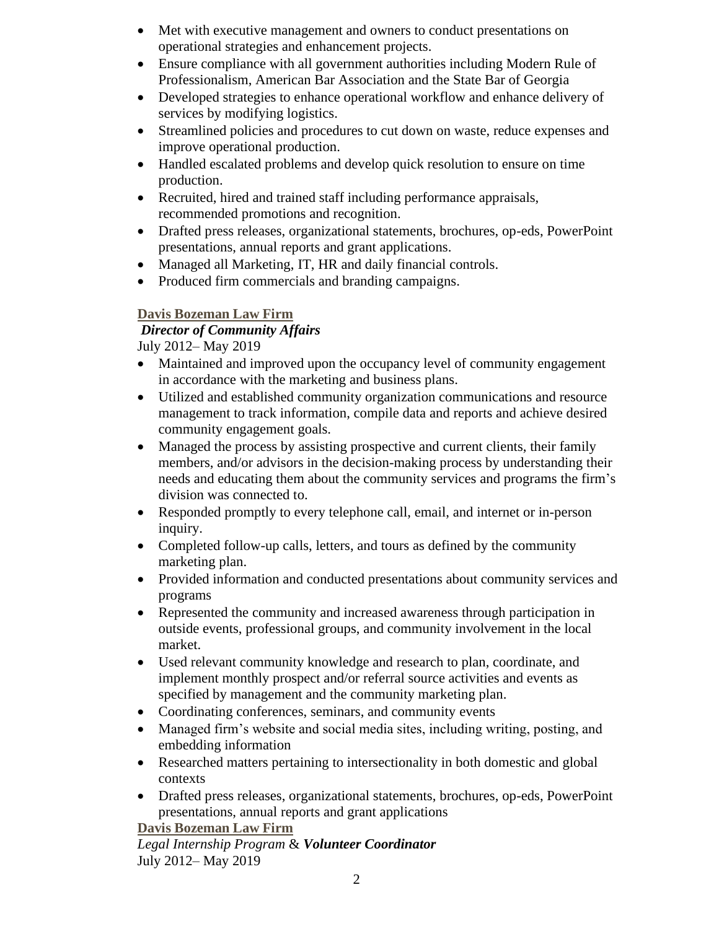- Met with executive management and owners to conduct presentations on operational strategies and enhancement projects.
- Ensure compliance with all government authorities including Modern Rule of Professionalism, American Bar Association and the State Bar of Georgia
- Developed strategies to enhance operational workflow and enhance delivery of services by modifying logistics.
- Streamlined policies and procedures to cut down on waste, reduce expenses and improve operational production.
- Handled escalated problems and develop quick resolution to ensure on time production.
- Recruited, hired and trained staff including performance appraisals, recommended promotions and recognition.
- Drafted press releases, organizational statements, brochures, op-eds, PowerPoint presentations, annual reports and grant applications.
- Managed all Marketing, IT, HR and daily financial controls.
- Produced firm commercials and branding campaigns.

#### **Davis Bozeman Law Firm**

## *Director of Community Affairs*

July 2012– May 2019

- Maintained and improved upon the occupancy level of community engagement in accordance with the marketing and business plans.
- Utilized and established community organization communications and resource management to track information, compile data and reports and achieve desired community engagement goals.
- Managed the process by assisting prospective and current clients, their family members, and/or advisors in the decision-making process by understanding their needs and educating them about the community services and programs the firm's division was connected to.
- Responded promptly to every telephone call, email, and internet or in-person inquiry.
- Completed follow-up calls, letters, and tours as defined by the community marketing plan.
- Provided information and conducted presentations about community services and programs
- Represented the community and increased awareness through participation in outside events, professional groups, and community involvement in the local market.
- Used relevant community knowledge and research to plan, coordinate, and implement monthly prospect and/or referral source activities and events as specified by management and the community marketing plan.
- Coordinating conferences, seminars, and community events
- Managed firm's website and social media sites, including writing, posting, and embedding information
- Researched matters pertaining to intersectionality in both domestic and global contexts
- Drafted press releases, organizational statements, brochures, op-eds, PowerPoint presentations, annual reports and grant applications

#### **Davis Bozeman Law Firm**

 *Legal Internship Program* & *Volunteer Coordinator*  July 2012– May 2019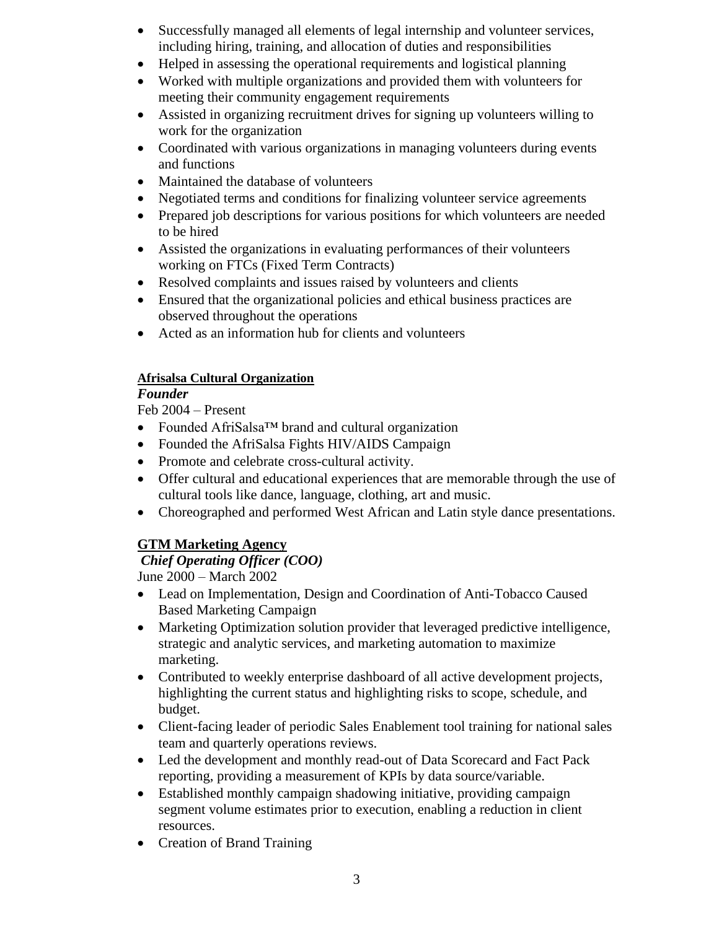- Successfully managed all elements of legal internship and volunteer services, including hiring, training, and allocation of duties and responsibilities
- Helped in assessing the operational requirements and logistical planning
- Worked with multiple organizations and provided them with volunteers for meeting their community engagement requirements
- Assisted in organizing recruitment drives for signing up volunteers willing to work for the organization
- Coordinated with various organizations in managing volunteers during events and functions
- Maintained the database of volunteers
- Negotiated terms and conditions for finalizing volunteer service agreements
- Prepared job descriptions for various positions for which volunteers are needed to be hired
- Assisted the organizations in evaluating performances of their volunteers working on FTCs (Fixed Term Contracts)
- Resolved complaints and issues raised by volunteers and clients
- Ensured that the organizational policies and ethical business practices are observed throughout the operations
- Acted as an information hub for clients and volunteers

#### **Afrisalsa Cultural Organization**

## *Founder*

Feb 2004 – Present

- Founded AfriSalsa™ brand and cultural organization
- Founded the AfriSalsa Fights HIV/AIDS Campaign
- Promote and celebrate cross-cultural activity.
- Offer cultural and educational experiences that are memorable through the use of cultural tools like dance, language, clothing, art and music.
- Choreographed and performed West African and Latin style dance presentations.

## **GTM Marketing Agency**

## *Chief Operating Officer (COO)*

June 2000 – March 2002

- Lead on Implementation, Design and Coordination of Anti-Tobacco Caused Based Marketing Campaign
- Marketing Optimization solution provider that leveraged predictive intelligence, strategic and analytic services, and marketing automation to maximize marketing.
- Contributed to weekly enterprise dashboard of all active development projects, highlighting the current status and highlighting risks to scope, schedule, and budget.
- Client-facing leader of periodic Sales Enablement tool training for national sales team and quarterly operations reviews.
- Led the development and monthly read-out of Data Scorecard and Fact Pack reporting, providing a measurement of KPIs by data source/variable.
- Established monthly campaign shadowing initiative, providing campaign segment volume estimates prior to execution, enabling a reduction in client resources.
- Creation of Brand Training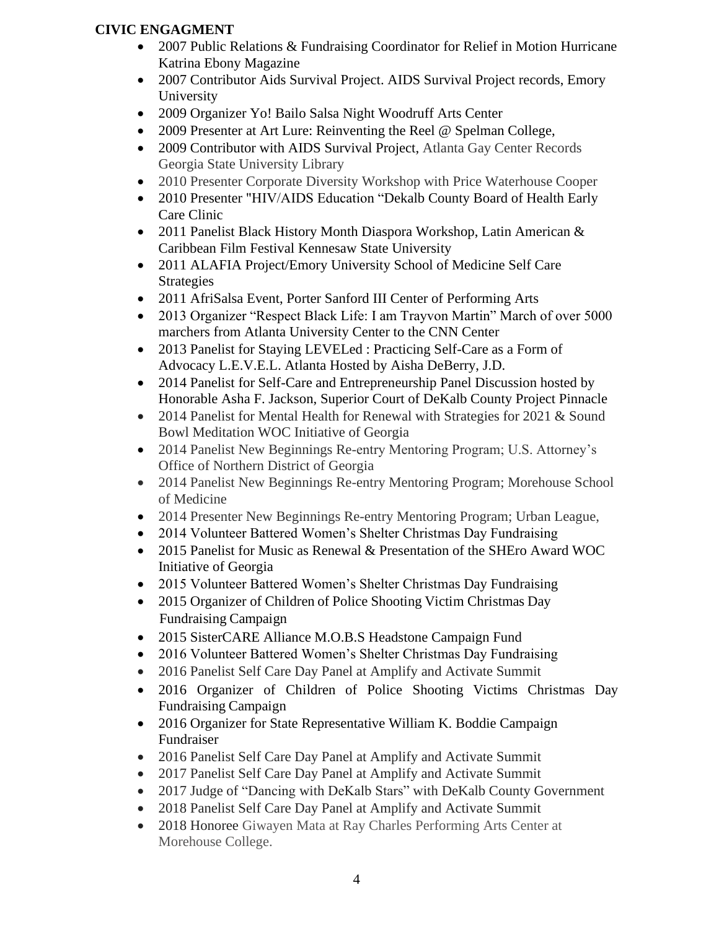#### **CIVIC ENGAGMENT**

- 2007 Public Relations & Fundraising Coordinator for Relief in Motion Hurricane Katrina Ebony Magazine
- 2007 Contributor Aids Survival Project. AIDS Survival Project records, Emory University
- 2009 Organizer Yo! Bailo Salsa Night Woodruff Arts Center
- 2009 Presenter at Art Lure: Reinventing the Reel @ Spelman College,
- 2009 Contributor with AIDS Survival Project, Atlanta Gay Center Records Georgia State University Library
- 2010 Presenter Corporate Diversity Workshop with Price Waterhouse Cooper
- 2010 Presenter "HIV/AIDS Education "Dekalb County Board of Health Early Care Clinic
- 2011 Panelist Black History Month Diaspora Workshop, Latin American & Caribbean Film Festival Kennesaw State University
- 2011 ALAFIA Project/Emory University School of Medicine Self Care Strategies
- 2011 AfriSalsa Event, Porter Sanford III Center of Performing Arts
- 2013 Organizer "Respect Black Life: I am Trayvon Martin" March of over 5000 marchers from Atlanta University Center to the CNN Center
- 2013 Panelist for Staying LEVELed : Practicing Self-Care as a Form of Advocacy L.E.V.E.L. Atlanta Hosted by Aisha DeBerry, J.D.
- 2014 Panelist for Self-Care and Entrepreneurship Panel Discussion hosted by Honorable Asha F. Jackson, Superior Court of DeKalb County Project Pinnacle
- 2014 Panelist for Mental Health for Renewal with Strategies for 2021 & Sound Bowl Meditation WOC Initiative of Georgia
- 2014 Panelist New Beginnings Re-entry Mentoring Program; U.S. Attorney's Office of Northern District of Georgia
- 2014 Panelist New Beginnings Re-entry Mentoring Program; Morehouse School of Medicine
- 2014 Presenter New Beginnings Re-entry Mentoring Program; Urban League,
- 2014 Volunteer Battered Women's Shelter Christmas Day Fundraising
- 2015 Panelist for Music as Renewal & Presentation of the SHEro Award WOC Initiative of Georgia
- 2015 Volunteer Battered Women's Shelter Christmas Day Fundraising
- 2015 Organizer of Children of Police Shooting Victim Christmas Day Fundraising Campaign
- 2015 SisterCARE Alliance M.O.B.S Headstone Campaign Fund
- 2016 Volunteer Battered Women's Shelter Christmas Day Fundraising
- 2016 Panelist Self Care Day Panel at Amplify and Activate Summit
- 2016 Organizer of Children of Police Shooting Victims Christmas Day Fundraising Campaign
- 2016 Organizer for State Representative William K. Boddie Campaign Fundraiser
- 2016 Panelist Self Care Day Panel at Amplify and Activate Summit
- 2017 Panelist Self Care Day Panel at Amplify and Activate Summit
- 2017 Judge of "Dancing with DeKalb Stars" with DeKalb County Government
- 2018 Panelist Self Care Day Panel at Amplify and Activate Summit
- 2018 Honoree Giwayen Mata at Ray Charles Performing Arts Center at Morehouse College.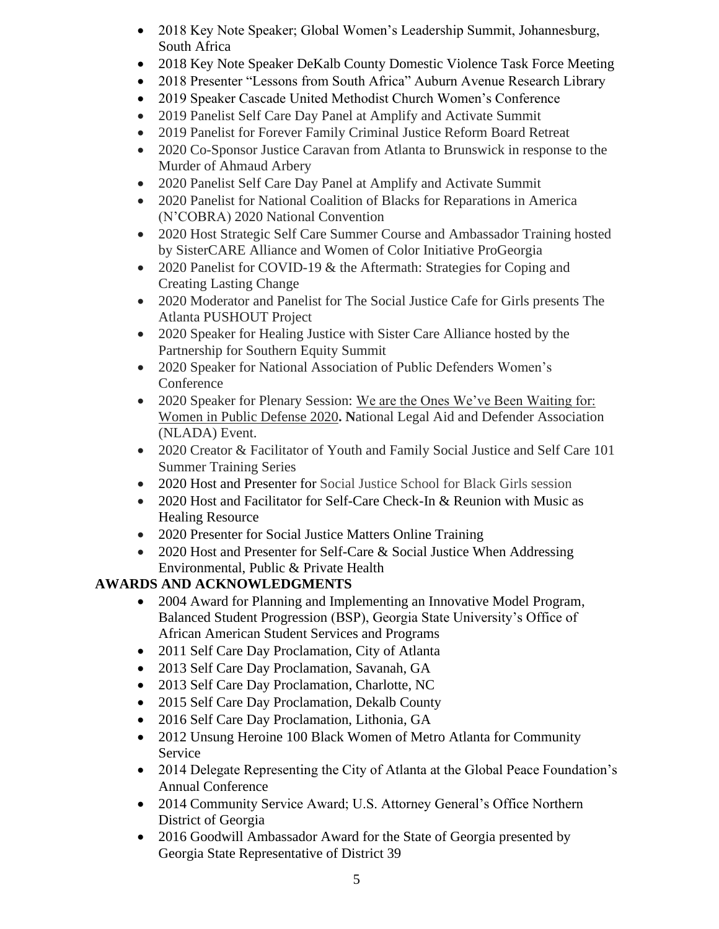- 2018 Key Note Speaker; Global Women's Leadership Summit, Johannesburg, South Africa
- 2018 Key Note Speaker DeKalb County Domestic Violence Task Force Meeting
- 2018 Presenter "Lessons from South Africa" Auburn Avenue Research Library
- 2019 Speaker Cascade United Methodist Church Women's Conference
- 2019 Panelist Self Care Day Panel at Amplify and Activate Summit
- 2019 Panelist for Forever Family Criminal Justice Reform Board Retreat
- 2020 Co-Sponsor Justice Caravan from Atlanta to Brunswick in response to the Murder of Ahmaud Arbery
- 2020 Panelist Self Care Day Panel at Amplify and Activate Summit
- 2020 Panelist for National Coalition of Blacks for Reparations in America (N'COBRA) 2020 National Convention
- 2020 Host Strategic Self Care Summer Course and Ambassador Training hosted by SisterCARE Alliance and Women of Color Initiative ProGeorgia
- 2020 Panelist for COVID-19 & the Aftermath: Strategies for Coping and Creating Lasting Change
- 2020 Moderator and Panelist for The Social Justice Cafe for Girls presents The Atlanta PUSHOUT Project
- 2020 Speaker for Healing Justice with Sister Care Alliance hosted by the Partnership for Southern Equity Summit
- 2020 Speaker for National Association of Public Defenders Women's Conference
- 2020 Speaker for Plenary Session: We are the Ones We've Been Waiting for: Women in Public Defense 2020**. N**ational Legal Aid and Defender Association (NLADA) Event.
- 2020 Creator & Facilitator of Youth and Family Social Justice and Self Care 101 Summer Training Series
- 2020 Host and Presenter for Social Justice School for Black Girls session
- 2020 Host and Facilitator for Self-Care Check-In & Reunion with Music as Healing Resource
- 2020 Presenter for Social Justice Matters Online Training
- 2020 Host and Presenter for Self-Care & Social Justice When Addressing Environmental, Public & Private Health

## **AWARDS AND ACKNOWLEDGMENTS**

- 2004 Award for Planning and Implementing an Innovative Model Program, Balanced Student Progression (BSP), Georgia State University's Office of African American Student Services and Programs
- 2011 Self Care Day Proclamation, City of Atlanta
- 2013 Self Care Day Proclamation, Savanah, GA
- 2013 Self Care Day Proclamation, Charlotte, NC
- 2015 Self Care Day Proclamation, Dekalb County
- 2016 Self Care Day Proclamation, Lithonia, GA
- 2012 Unsung Heroine 100 Black Women of Metro Atlanta for Community Service
- 2014 Delegate Representing the City of Atlanta at the Global Peace Foundation's Annual Conference
- 2014 Community Service Award; U.S. Attorney General's Office Northern District of Georgia
- 2016 Goodwill Ambassador Award for the State of Georgia presented by Georgia State Representative of District 39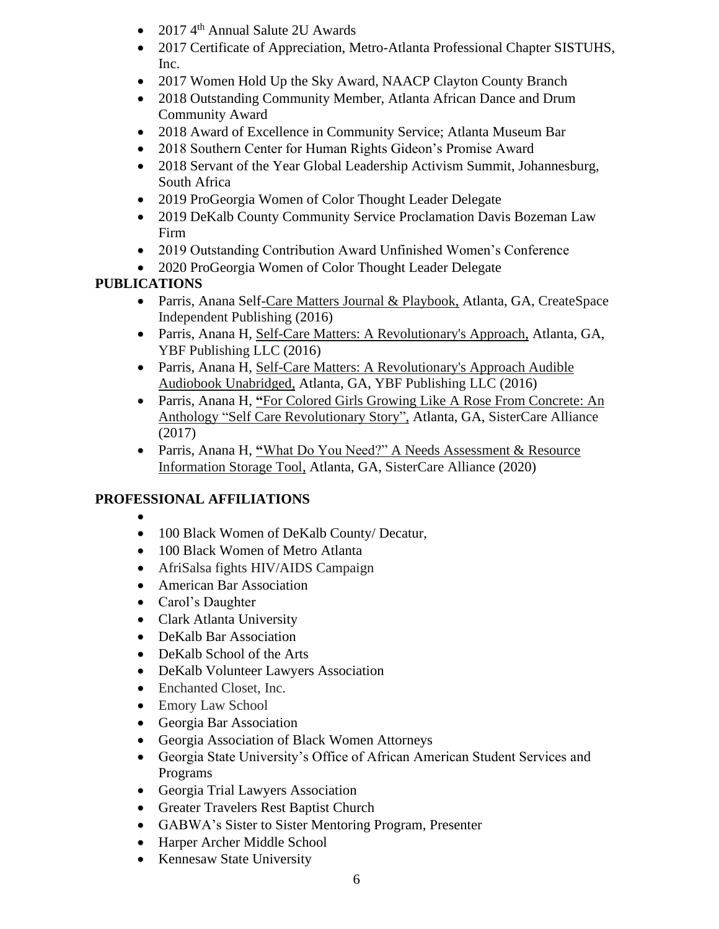- 2017 4<sup>th</sup> Annual Salute 2U Awards
- 2017 Certificate of Appreciation, Metro-Atlanta Professional Chapter SISTUHS, Inc.
- 2017 Women Hold Up the Sky Award, NAACP Clayton County Branch
- 2018 Outstanding Community Member, Atlanta African Dance and Drum Community Award
- 2018 Award of Excellence in Community Service; Atlanta Museum Bar
- 2018 Southern Center for Human Rights Gideon's Promise Award
- 2018 Servant of the Year Global Leadership Activism Summit, Johannesburg, South Africa
- 2019 ProGeorgia Women of Color Thought Leader Delegate
- 2019 DeKalb County Community Service Proclamation Davis Bozeman Law Firm
- 2019 Outstanding Contribution Award Unfinished Women's Conference
- 2020 ProGeorgia Women of Color Thought Leader Delegate

## **PUBLICATIONS**

- Parris, Anana Self-Care Matters Journal & Playbook, Atlanta, GA, CreateSpace Independent Publishing (2016)
- Parris, Anana H, Self-Care Matters: A Revolutionary's Approach, Atlanta, GA, YBF Publishing LLC (2016)
- Parris, Anana H, Self-Care Matters: A Revolutionary's Approach Audible Audiobook Unabridged, Atlanta, GA, YBF Publishing LLC (2016)
- Parris, Anana H, **"**For Colored Girls Growing Like A Rose From Concrete: An Anthology "Self Care Revolutionary Story", Atlanta, GA, SisterCare Alliance (2017)
- Parris, Anana H, **"**What Do You Need?" A Needs Assessment & Resource Information Storage Tool, Atlanta, GA, SisterCare Alliance (2020)

## **PROFESSIONAL AFFILIATIONS**

- •
- 100 Black Women of DeKalb County/ Decatur,
- 100 Black Women of Metro Atlanta
- AfriSalsa fights HIV/AIDS Campaign
- American Bar Association
- Carol's Daughter
- Clark Atlanta University
- DeKalb Bar Association
- DeKalb School of the Arts
- DeKalb Volunteer Lawyers Association
- Enchanted Closet, Inc.
- Emory Law School
- Georgia Bar Association
- Georgia Association of Black Women Attorneys
- Georgia State University's Office of African American Student Services and Programs
- Georgia Trial Lawyers Association
- Greater Travelers Rest Baptist Church
- GABWA's Sister to Sister Mentoring Program, Presenter
- Harper Archer Middle School
- Kennesaw State University